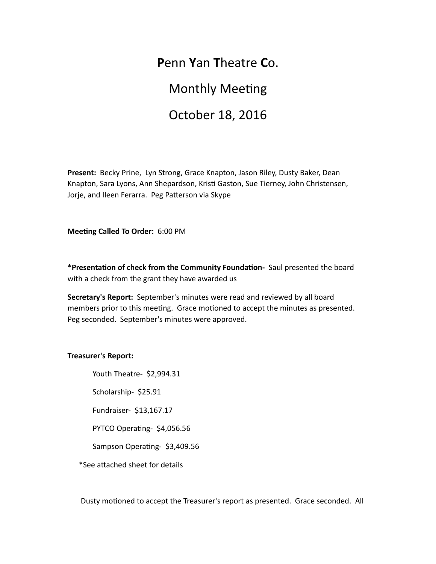# **P**enn **Y**an **T**heatre **C**o.

# **Monthly Meeting**

# October 18, 2016

Present: Becky Prine, Lyn Strong, Grace Knapton, Jason Riley, Dusty Baker, Dean Knapton, Sara Lyons, Ann Shepardson, Kristi Gaston, Sue Tierney, John Christensen, Jorje, and Ileen Ferarra. Peg Patterson via Skype

**Meeting Called To Order:** 6:00 PM

\*Presentation of check from the Community Foundation- Saul presented the board with a check from the grant they have awarded us

**Secretary's Report:** September's minutes were read and reviewed by all board members prior to this meeting. Grace motioned to accept the minutes as presented. Peg seconded. September's minutes were approved.

## **Treasurer's Report:**

Youth Theatre- \$2,994.31

Scholarship- \$25.91

Fundraiser- \$13,167.17

PYTCO Operating- \$4,056.56

Sampson Operating- \$3,409.56

\*See attached sheet for details

Dusty motioned to accept the Treasurer's report as presented. Grace seconded. All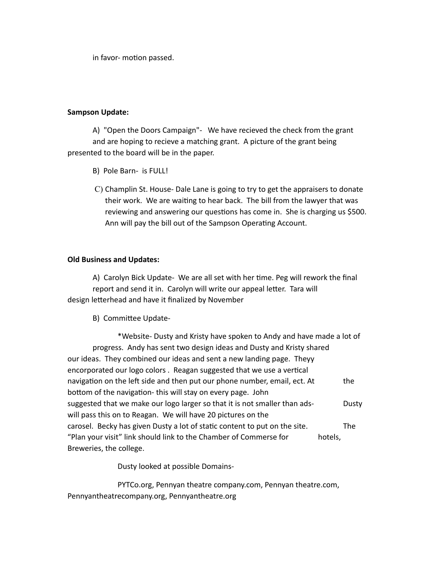in favor- motion passed.

## **Sampson Update:**

A) "Open the Doors Campaign"- We have recieved the check from the grant and are hoping to recieve a matching grant. A picture of the grant being presented to the board will be in the paper.

- B) Pole Barn- is FULL!
- C) Champlin St. House- Dale Lane is going to try to get the appraisers to donate their work. We are waiting to hear back. The bill from the lawyer that was reviewing and answering our questions has come in. She is charging us \$500. Ann will pay the bill out of the Sampson Operating Account.

## **Old Business and Updates:**

A) Carolyn Bick Update- We are all set with her time. Peg will rework the final report and send it in. Carolyn will write our appeal letter. Tara will design letterhead and have it finalized by November

B) Committee Update-

\*Website- Dusty and Kristy have spoken to Andy and have made a lot of progress. Andy has sent two design ideas and Dusty and Kristy shared our ideas. They combined our ideas and sent a new landing page. Theyy encorporated our logo colors. Reagan suggested that we use a vertical navigation on the left side and then put our phone number, email, ect. At the bottom of the navigation- this will stay on every page. John suggested that we make our logo larger so that it is not smaller than ads- Dusty will pass this on to Reagan. We will have 20 pictures on the carosel. Becky has given Dusty a lot of static content to put on the site. The "Plan your visit" link should link to the Chamber of Commerse for hotels, Breweries, the college.

Dusty looked at possible Domains-

PYTCo.org, Pennyan theatre company.com, Pennyan theatre.com, Pennyantheatrecompany.org, Pennyantheatre.org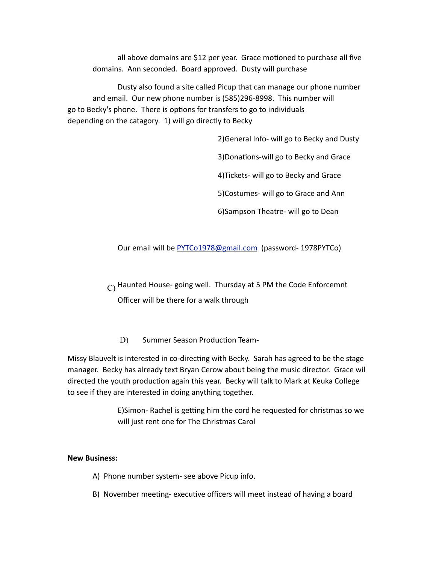all above domains are \$12 per year. Grace motioned to purchase all five domains. Ann seconded. Board approved. Dusty will purchase

Dusty also found a site called Picup that can manage our phone number and email. Our new phone number is (585)296-8998. This number will go to Becky's phone. There is options for transfers to go to individuals depending on the catagory. 1) will go directly to Becky

2) General Info- will go to Becky and Dusty

3) Donations-will go to Becky and Grace

4) Tickets- will go to Becky and Grace

5)Costumes- will go to Grace and Ann

6) Sampson Theatre- will go to Dean

Our email will be PYTCo1978@gmail.com (password- 1978PYTCo)

 $\text{C}$ ) Haunted House- going well. Thursday at 5 PM the Code Enforcemnt Officer will be there for a walk through

D) Summer Season Production Team-

Missy Blauvelt is interested in co-directing with Becky. Sarah has agreed to be the stage manager. Becky has already text Bryan Cerow about being the music director. Grace wil directed the youth production again this year. Becky will talk to Mark at Keuka College to see if they are interested in doing anything together.

> E)Simon- Rachel is getting him the cord he requested for christmas so we will just rent one for The Christmas Carol

#### **New Business:**

- A) Phone number system- see above Picup info.
- B) November meeting- executive officers will meet instead of having a board